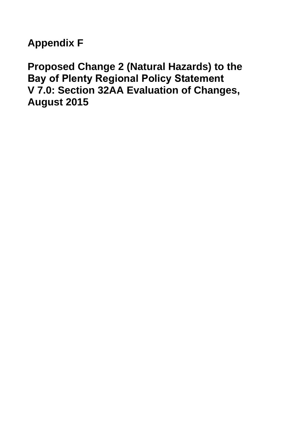# **Appendix F**

**Proposed Change 2 (Natural Hazards) to the Bay of Plenty Regional Policy Statement V 7.0: Section 32AA Evaluation of Changes, August 2015**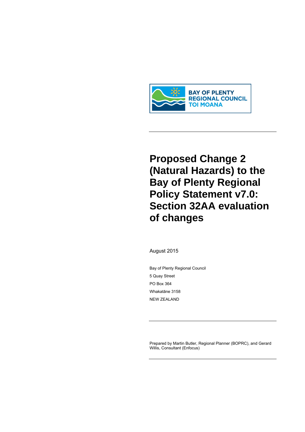

# **Proposed Change 2** (Natural Hazards) to the **Bay of Plenty Regional Policy Statement v7.0: Section 32AA evaluation** of changes

August 2015

Bay of Plenty Regional Council 5 Quay Street PO Box 364 Whakatāne 3158 **NEW ZEALAND** 

Prepared by Martin Butler, Regional Planner (BOPRC), and Gerard Willis, Consultant (Enfocus)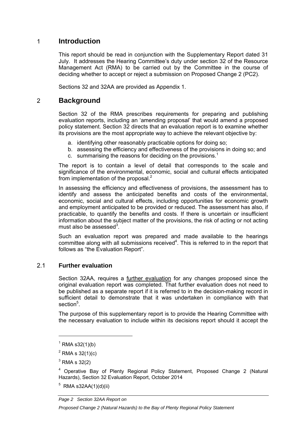### 1 **Introduction**

This report should be read in conjunction with the Supplementary Report dated 31 July. It addresses the Hearing Committee's duty under section 32 of the Resource Management Act (RMA) to be carried out by the Committee in the course of deciding whether to accept or reject a submission on Proposed Change 2 (PC2).

Sections 32 and 32AA are provided as Appendix 1.

### 2 **Background**

Section 32 of the RMA prescribes requirements for preparing and publishing evaluation reports, including an 'amending proposal' that would amend a proposed policy statement. Section 32 directs that an evaluation report is to examine whether its provisions are the most appropriate way to achieve the relevant objective by:

- a. identifying other reasonably practicable options for doing so;
- b. assessing the efficiency and effectiveness of the provisions in doing so; and
- c. summarising the reasons for deciding on the provisions.<sup>1</sup>

The report is to contain a level of detail that corresponds to the scale and significance of the environmental, economic, social and cultural effects anticipated from implementation of the proposal.<sup>2</sup>

In assessing the efficiency and effectiveness of provisions, the assessment has to identify and assess the anticipated benefits and costs of the environmental, economic, social and cultural effects, including opportunities for economic growth and employment anticipated to be provided or reduced. The assessment has also, if practicable, to quantify the benefits and costs. If there is uncertain or insufficient information about the subject matter of the provisions, the risk of acting or not acting must also be assessed $3$ .

Such an evaluation report was prepared and made available to the hearings committee along with all submissions received<sup>4</sup>. This is referred to in the report that follows as "the Evaluation Report".

#### 2.1 **Further evaluation**

Section 32AA, requires a further evaluation for any changes proposed since the original evaluation report was completed. That further evaluation does not need to be published as a separate report if it is referred to in the decision-making record in sufficient detail to demonstrate that it was undertaken in compliance with that section<sup>5</sup>.

The purpose of this supplementary report is to provide the Hearing Committee with the necessary evaluation to include within its decisions report should it accept the

 $5$  RMA s32AA(1)(d)(ii)

*Page 2 Section 32AA Report on* 

 $1$  RMA s32(1)(b)

 $^{2}$  RMA s 32(1)(c)

 $3$  RMA s 32(2)

<sup>&</sup>lt;sup>4</sup> Operative Bay of Plenty Regional Policy Statement, Proposed Change 2 (Natural Hazards), Section 32 Evaluation Report, October 2014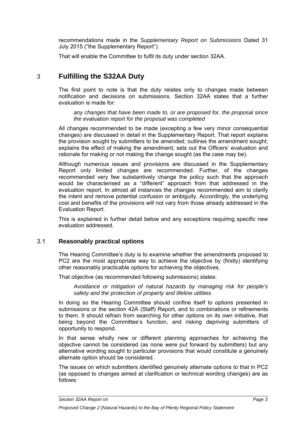recommendations made in the *Supplementary Report on Submissions* Dated 31 July 2015 ("the Supplementary Report").

That will enable the Committee to fulfil its duty under section 32AA.

## 3 **Fulfilling the S32AA Duty**

The first point to note is that the duty relates only to changes made between notification and decisions on submissions. Section 32AA states that a further evaluation is made for:

*any changes that have been made to, or are proposed for, the proposal since the evaluation report for the proposal was completed* 

All changes recommended to be made (excepting a few very minor consequential changes) are discussed in detail in the Supplementary Report. That report explains the provision sought by submitters to be amended; outlines the amendment sought; explains the effect of making the amendment; sets out the Officers' evaluation and rationale for making or not making the change sought (as the case may be).

Although numerous issues and provisions are discussed in the Supplementary Report only limited changes are recommended. Further, of the changes recommended very few substantively change the policy such that the approach would be characterised as a "different" approach from that addressed in the evaluation report. In almost all instances the changes recommended aim to clarify the intent and remove potential confusion or ambiguity. Accordingly, the underlying cost and benefits of the provisions will not vary from those already addressed in the Evaluation Report.

This is explained in further detail below and any exceptions requiring specific new evaluation addressed.

#### 3.1 **Reasonably practical options**

The Hearing Committee's duty is to examine whether the amendments proposed to PC2 are the most appropriate way to achieve the objective by (firstly) identifying other reasonably practicable options for achieving the objectives.

That objective (as recommended following submissions) states:

*Avoidance or mitigation of natural hazards by managing risk for people's safety and the protection of property and lifeline utilities* 

In doing so the Hearing Committee should confine itself to options presented in submissions or the section 42A (Staff) Report, and to combinations or refinements to them. It should refrain from searching for other options on its own initiative, that being beyond the Committee's function, and risking depriving submitters of opportunity to respond.

In that sense wholly new or different planning approaches for achieving the objective cannot be considered (as none were put forward by submitters) but any alternative wording sought to particular provisions that would constitute a genuinely alternate option should be considered.

The issues on which submitters identified genuinely alternate options to that in PC2 (as opposed to changes aimed at clarification or technical wording changes) are as follows:

*Section 32AA Report on Page 3*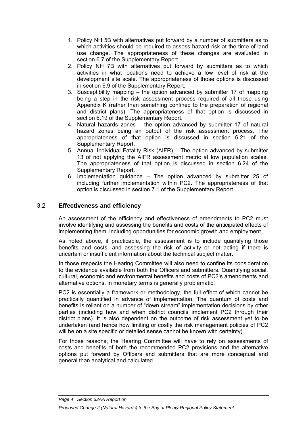- 1. Policy NH 5B with alternatives put forward by a number of submitters as to which activities should be required to assess hazard risk at the time of land use change. The appropriateness of these changes are evaluated in section 6.7 of the Supplementary Report.
- 2. Policy NH 7B with alternatives put forward by submitters as to which activities in what locations need to achieve a low level of risk at the development site scale. The appropriateness of those options is discussed in section 6.9 of the Supplementary Report.
- 3. Susceptibility mapping the option advanced by submitter 17 of mapping being a step in the risk assessment process required of all those using Appendix K (rather than something confined to the preparation of regional and district plans). The appropriateness of that option is discussed in section 6.19 of the Supplementary Report.
- 4. Natural hazards zones the option advanced by submitter 17 of natural hazard zones being an output of the risk assessment process. The appropriateness of that option is discussed in section 6.21 of the Supplementary Report.
- 5. Annual Individual Fatality Risk (AIFR) The option advanced by submitter 13 of not applying the AIFR assessment metric at low population scales. The appropriateness of that option is discussed in section 6.24 of the Supplementary Report.
- 6. Implementation guidance The option advanced by submitter 25 of including further implementation within PC2. The appropriateness of that option is discussed in section 7.1 of the Supplementary Report.

#### 3.2 **Effectiveness and efficiency**

An assessment of the efficiency and effectiveness of amendments to PC2 must involve identifying and assessing the benefits and costs of the anticipated effects of implementing them, including opportunities for economic growth and employment.

As noted above, if practicable, the assessment is to include quantifying those benefits and costs; and assessing the risk of activity or not acting if there is uncertain or insufficient information about the technical subject matter.

In those respects the Hearing Committee will also need to confine its consideration to the evidence available from both the Officers and submitters. Quantifying social, cultural, economic and environmental benefits and costs of PC2's amendments and alternative options, in monetary terms is generally problematic.

PC2 is essentially a framework or methodology, the full effect of which cannot be practically quantified in advance of implementation. The quantum of costs and benefits is reliant on a number of "down stream" implementation decisions by other parties (including how and when district councils implement PC2 through their district plans). It is also dependent on the outcome of risk assessment yet to be undertaken (and hence how limiting or costly the risk management policies of PC2 will be on a site specific or detailed sense cannot be known with certainty).

For those reasons, the Hearing Committee will have to rely on assessments of costs and benefits of both the recommended PC2 provisions and the alternative options put forward by Officers and submitters that are more conceptual and general than analytical and calculated.

*Page 4 Section 32AA Report on*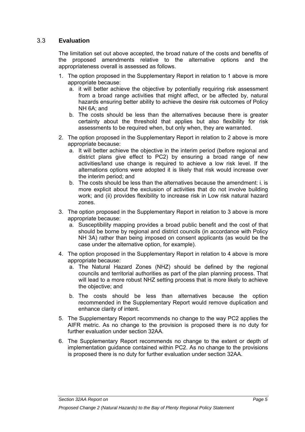#### 3.3 **Evaluation**

The limitation set out above accepted, the broad nature of the costs and benefits of the proposed amendments relative to the alternative options and the appropriateness overall is assessed as follows.

- 1. The option proposed in the Supplementary Report in relation to 1 above is more appropriate because:
	- a. it will better achieve the objective by potentially requiring risk assessment from a broad range activities that might affect, or be affected by, natural hazards ensuring better ability to achieve the desire risk outcomes of Policy NH 6A; and
	- b. The costs should be less than the alternatives because there is greater certainty about the threshold that applies but also flexibility for risk assessments to be required when, but only when, they are warranted.
- 2. The option proposed in the Supplementary Report in relation to 2 above is more appropriate because:
	- a. It will better achieve the objective in the interim period (before regional and district plans give effect to PC2) by ensuring a broad range of new activities/land use change is required to achieve a low risk level. If the alternations options were adopted it is likely that risk would increase over the interim period; and
	- b. The costs should be less than the alternatives because the amendment: i. is more explicit about the exclusion of activities that do not involve building work; and (ii) provides flexibility to increase risk in Low risk natural hazard zones.
- 3. The option proposed in the Supplementary Report in relation to 3 above is more appropriate because:
	- a. Susceptibility mapping provides a broad public benefit and the cost of that should be borne by regional and district councils (in accordance with Policy NH 3A) rather than being imposed on consent applicants (as would be the case under the alternative option, for example).
- 4. The option proposed in the Supplementary Report in relation to 4 above is more appropriate because:
	- a. The Natural Hazard Zones (NHZ) should be defined by the regional councils and territorial authorities as part of the plan planning process. That will lead to a more robust NHZ setting process that is more likely to achieve the objective; and
	- b. The costs should be less than alternatives because the option recommended in the Supplementary Report would remove duplication and enhance clarity of intent.
- 5. The Supplementary Report recommends no change to the way PC2 applies the AIFR metric. As no change to the provision is proposed there is no duty for further evaluation under section 32AA.
- 6. The Supplementary Report recommends no change to the extent or depth of implementation guidance contained within PC2. As no change to the provisions is proposed there is no duty for further evaluation under section 32AA.

*Section 32AA Report on Page 5*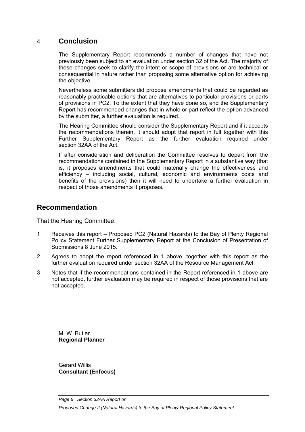## 4 **Conclusion**

The Supplementary Report recommends a number of changes that have not previously been subject to an evaluation under section 32 of the Act. The majority of those changes seek to clarify the intent or scope of provisions or are technical or consequential in nature rather than proposing some alternative option for achieving the objective.

Nevertheless some submitters did propose amendments that could be regarded as reasonably practicable options that are alternatives to particular provisions or parts of provisions in PC2. To the extent that they have done so, and the Supplementary Report has recommended changes that in whole or part reflect the option advanced by the submitter, a further evaluation is required.

The Hearing Committee should consider the Supplementary Report and if it accepts the recommendations therein, it should adopt that report in full together with this Further Supplementary Report as the further evaluation required under section 32AA of the Act.

If after consideration and deliberation the Committee resolves to depart from the recommendations contained in the Supplementary Report in a substantive way (that is, it proposes amendments that could materially change the effectiveness and efficiency – including social, cultural, economic and environments costs and benefits of the provisions) then it will need to undertake a further evaluation in respect of those amendments it proposes.

## **Recommendation**

That the Hearing Committee:

- 1 Receives this report Proposed PC2 (Natural Hazards) to the Bay of Plenty Regional Policy Statement Further Supplementary Report at the Conclusion of Presentation of Submissions 8 June 2015.
- 2 Agrees to adopt the report referenced in 1 above, together with this report as the further evaluation required under section 32AA of the Resource Management Act.
- 3 Notes that if the recommendations contained in the Report referenced in 1 above are not accepted, further evaluation may be required in respect of those provisions that are not accepted.

M. W. Butler **Regional Planner** 

Gerard Willis **Consultant (Enfocus)**

*Page 6 Section 32AA Report on*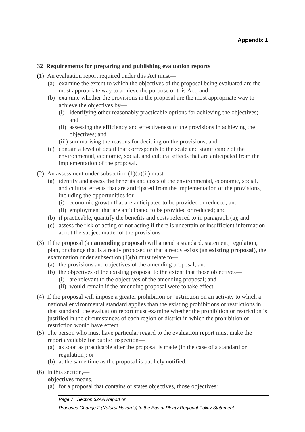#### **32 Requirements for preparing and publishing evaluation reports**

- **(**1) An evaluation report required under this Act must—
	- (a) examine the extent to which the objectives of the proposal being evaluated are the most appropriate way to achieve the purpose of this Act; and
	- (b) examine whether the provisions in the proposal are the most appropriate way to achieve the objectives by—
		- (i) identifying other reasonably practicable options for achieving the objectives; and
		- (ii) assessing the efficiency and effectiveness of the provisions in achieving the objectives; and
		- (iii) summarising the reasons for deciding on the provisions; and
	- (c) contain a level of detail that corresponds to the scale and significance of the environmental, economic, social, and cultural effects that are anticipated from the implementation of the proposal.
- (2) An assessment under subsection  $(1)(b)(ii)$  must—
	- (a) identify and assess the benefits and costs of the environmental, economic, social, and cultural effects that are anticipated from the implementation of the provisions, including the opportunities for—
		- (i) economic growth that are anticipated to be provided or reduced; and
		- (ii) employment that are anticipated to be provided or reduced; and
	- (b) if practicable, quantify the benefits and costs referred to in paragraph (a); and
	- (c) assess the risk of acting or not acting if there is uncertain or insufficient information about the subject matter of the provisions.
- (3) If the proposal (an **amending proposal**) will amend a standard, statement, regulation, plan, or change that is already proposed or that already exists (an **existing proposal**), the examination under subsection (1)(b) must relate to—
	- (a) the provisions and objectives of the amending proposal; and
	- (b) the objectives of the existing proposal to the extent that those objectives—
		- (i) are relevant to the objectives of the amending proposal; and
		- (ii) would remain if the amending proposal were to take effect.
- (4) If the proposal will impose a greater prohibition or restriction on an activity to which a national environmental standard applies than the existing prohibitions or restrictions in that standard, the evaluation report must examine whether the prohibition or restriction is justified in the circumstances of each region or district in which the prohibition or restriction would have effect.
- (5) The person who must have particular regard to the evaluation report must make the report available for public inspection—
	- (a) as soon as practicable after the proposal is made (in the case of a standard or regulation); or
	- (b) at the same time as the proposal is publicly notified.
- (6) In this section,—

**objectives** means,—

(a) for a proposal that contains or states objectives, those objectives:

*Page 7 Section 32AA Report on*